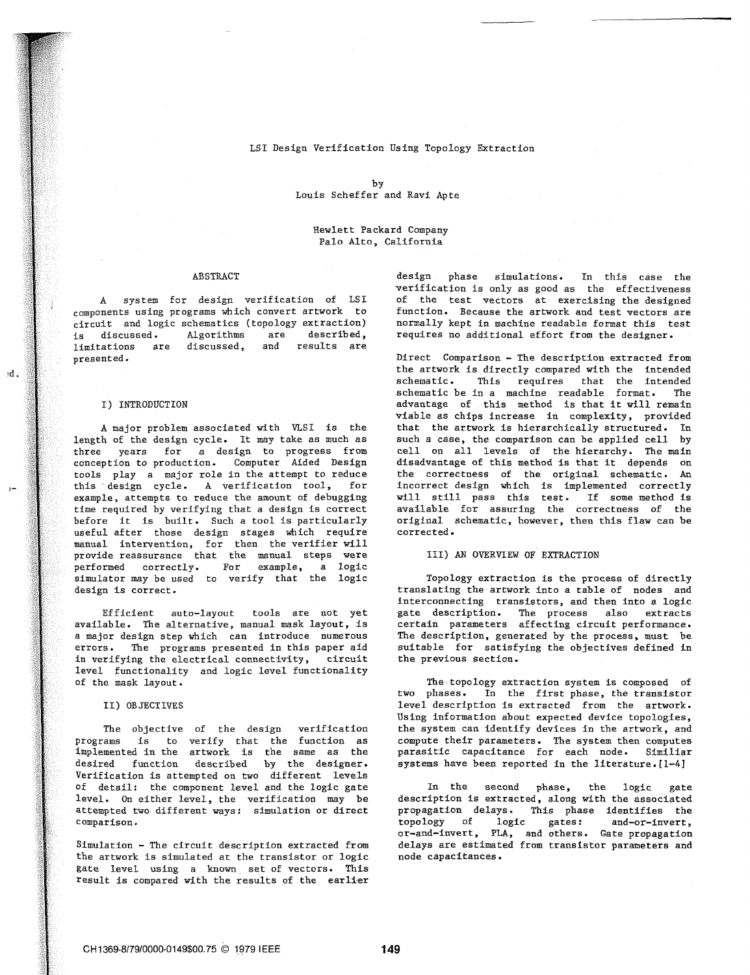## LSI Design Verification Using Topology Extraction

by Louis Scheffer and Ravi Apte

Hewlett Packard Company Palo Alto, California

circuit and logic schematics (topology extraction)<br>is discussed. Algorithms are described, Algorithms are described, requires no additional effort from the designer.<br>discussed, and results are limitations are<br>presented.

 $nd.$ 

this design cycle. A verification tool, for example, attempts to reduce the amount of debugging example, attempts to reduce the amount of debugging will still pass this test. If some method is<br>time required by verifying that a design is correct available for assuring the correctness of the useful after those design stages which require manual intervention, for then the verifier will provide reassurance that the manual steps were 111) AN OVERVIEW OF EXTRACTION performed correctly. For example, a logic performed correctly. For simulator may be used to verify that the logic Topology extraction is the process of directly<br>design is correct. Translating the artwork into a table of nodes and

available. The alternative, manual mask layout, is certain parameters affecting circuit performance.<br>a major design step which can introduce numerous The description, generated by the process, must be a major design step which can introduce numerous The description, generated by the process, must be<br>errors. The programs presented in this paper aid suitable for satisfying the objectives defined in in verifying the electrical connectivity, circuit level functionality and logic level functionality

programs is to verify that the function as compute-their-parameters. The system-then-computes<br>implemented in-the artwork is the same as the - parasitic capacitance for each node. Similiar implemented in the artwork is the same as the parasitic capacitance for each node. Similiar desired function described by the designer. Verification is attempted on two different levels of detail: the component level and the logic gate In the second phase, the logic gate<br>level. On either level, the verification may be description is extracted, along with the associated level. On either level, the verification may be attempted two different ways: simulation or direct

the artwork is simulated at the transistor or logic gate level using a known set of vectors. This result is compared with the results of the earlier

ABSTRACT design phase simulations. In this case the verification is only as good as the effectiveness **A** system for design verification of **LSI** of the test vectors at exercising the designed components using programs which convert artwork to function. Because the artwork and test vectors are

Direct Comparison - The description extracted from the artwork is directly compared with the intended that the intended schematic be in a machine readable format. The schematic of this method is that it will remain<br>advantage of this method is that it will remain viable as chips increase in complexity, provided<br>that the artwork is hierarchically structured. In A major problem associated with VLSI is the that the artwork is hierarchically structured. In<br>the of the design cycle. It may take as much as such a case, the comparison can be applied cell by length of the design cycle. It may take as much as such a case, the comparison can be applied cell by<br>three years for a design to progress from cell on all levels of the hierarchy. The main three years for a design to progress from cell on all levels of the hierarchy. The main conception to production. Computer Aided Design disadvantage of this method is that it depends on tools play a major role in the attempt to reduce the correctness of the original schematic. An this design cycle. A verification tool, for incorrect design which is implemented correctly time required by verifying that a design is correct available for assuring the correctness of the<br>before it is built. Such a tool is particularly original schematic, however, then this flaw can be original schematic, however, then this flaw can be corrected.

translating the artwork into a table of nodes and interconnecting transistors, and then into a logic Efficient auto-layout tools are not yet gate description. The process also extracts<br>available. The alternative, manual mask layout, is certain parameters affecting circuit performance. suitable for satisfying the objectives defined in the previous section.

of the mask layout. The-topology extraction system is composed of two phases. In the first phase, the transistor 11) OBJECTIVES level description is extracted from the artwork. Using information about expected device topologies, The objective of the design verification the system can identify devices in the artwork, and<br>ams is to verify that the function as compute their parameters. The system then computes

propagation delays. This phase identifies the<br>topology of logic gates: and-or-invert. comparison. topology of logic gates: and-or-invert,<br>comparison. The set of the set of the set of the set of the set of the set of the set of the set of the set of t Simulation - The circuit description extracted from delays are estimated from transistor parameters and<br>the artwork is simulated at the transistor or logic ande capacitances.